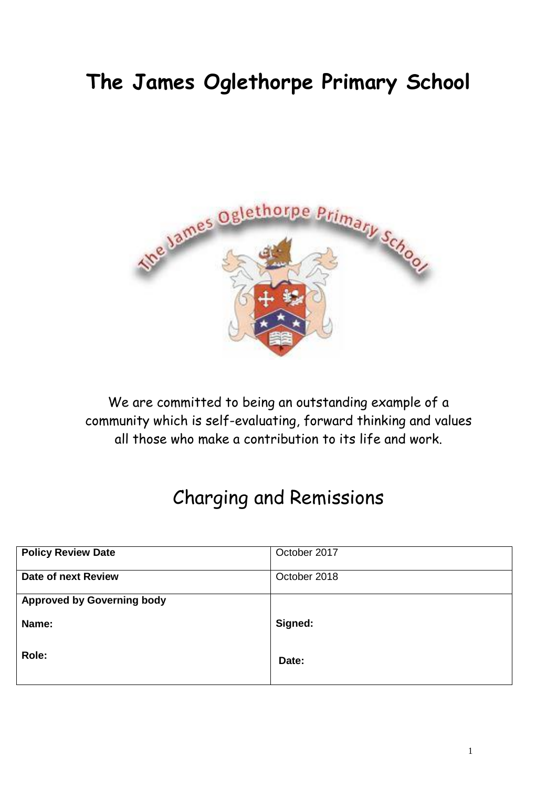# **The James Oglethorpe Primary School**



We are committed to being an outstanding example of a community which is self-evaluating, forward thinking and values all those who make a contribution to its life and work.

# Charging and Remissions

| <b>Policy Review Date</b>         | October 2017 |
|-----------------------------------|--------------|
| <b>Date of next Review</b>        | October 2018 |
| <b>Approved by Governing body</b> |              |
|                                   |              |
| Name:                             | Signed:      |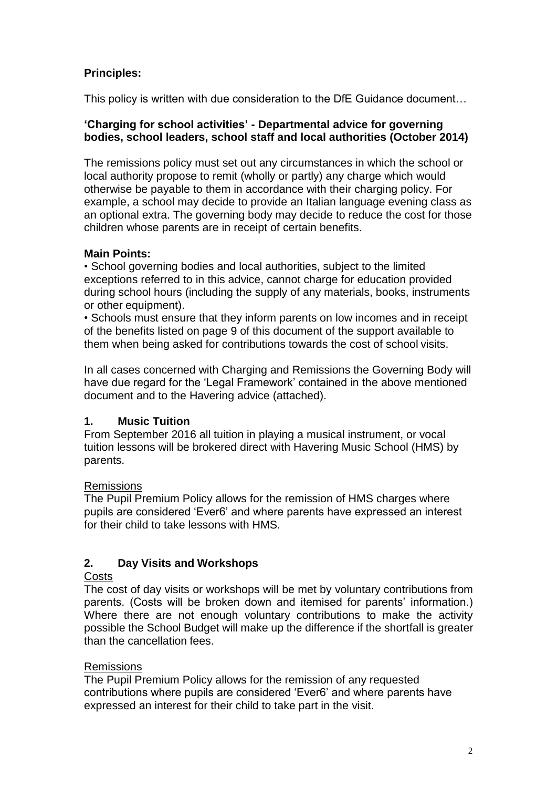# **Principles:**

This policy is written with due consideration to the DfE Guidance document…

#### **'Charging for school activities' - Departmental advice for governing bodies, school leaders, school staff and local authorities (October 2014)**

The remissions policy must set out any circumstances in which the school or local authority propose to remit (wholly or partly) any charge which would otherwise be payable to them in accordance with their charging policy. For example, a school may decide to provide an Italian language evening class as an optional extra. The governing body may decide to reduce the cost for those children whose parents are in receipt of certain benefits.

## **Main Points:**

• School governing bodies and local authorities, subject to the limited exceptions referred to in this advice, cannot charge for education provided during school hours (including the supply of any materials, books, instruments or other equipment).

• Schools must ensure that they inform parents on low incomes and in receipt of the benefits listed on page 9 of this document of the support available to them when being asked for contributions towards the cost of school visits.

In all cases concerned with Charging and Remissions the Governing Body will have due regard for the 'Legal Framework' contained in the above mentioned document and to the Havering advice (attached).

# **1. Music Tuition**

From September 2016 all tuition in playing a musical instrument, or vocal tuition lessons will be brokered direct with Havering Music School (HMS) by parents.

## Remissions

The Pupil Premium Policy allows for the remission of HMS charges where pupils are considered 'Ever6' and where parents have expressed an interest for their child to take lessons with HMS.

# **2. Day Visits and Workshops**

## **Costs**

The cost of day visits or workshops will be met by voluntary contributions from parents. (Costs will be broken down and itemised for parents' information.) Where there are not enough voluntary contributions to make the activity possible the School Budget will make up the difference if the shortfall is greater than the cancellation fees.

## Remissions

The Pupil Premium Policy allows for the remission of any requested contributions where pupils are considered 'Ever6' and where parents have expressed an interest for their child to take part in the visit.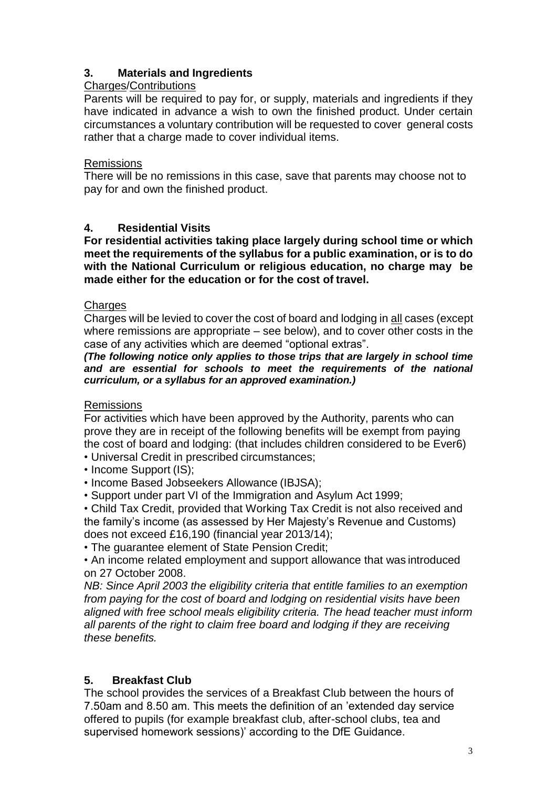## **3. Materials and Ingredients**

#### Charges/Contributions

Parents will be required to pay for, or supply, materials and ingredients if they have indicated in advance a wish to own the finished product. Under certain circumstances a voluntary contribution will be requested to cover general costs rather that a charge made to cover individual items.

#### Remissions

There will be no remissions in this case, save that parents may choose not to pay for and own the finished product.

## **4. Residential Visits**

**For residential activities taking place largely during school time or which meet the requirements of the syllabus for a public examination, or is to do with the National Curriculum or religious education, no charge may be made either for the education or for the cost of travel.**

#### **Charges**

Charges will be levied to cover the cost of board and lodging in all cases (except where remissions are appropriate – see below), and to cover other costs in the case of any activities which are deemed "optional extras".

#### *(The following notice only applies to those trips that are largely in school time and are essential for schools to meet the requirements of the national curriculum, or a syllabus for an approved examination.)*

## Remissions

For activities which have been approved by the Authority, parents who can prove they are in receipt of the following benefits will be exempt from paying the cost of board and lodging: (that includes children considered to be Ever6)

• Universal Credit in prescribed circumstances;

• Income Support (IS);

• Income Based Jobseekers Allowance (IBJSA);

• Support under part VI of the Immigration and Asylum Act 1999;

• Child Tax Credit, provided that Working Tax Credit is not also received and the family's income (as assessed by Her Majesty's Revenue and Customs) does not exceed £16,190 (financial year 2013/14);

• The guarantee element of State Pension Credit;

• An income related employment and support allowance that was introduced on 27 October 2008.

*NB: Since April 2003 the eligibility criteria that entitle families to an exemption from paying for the cost of board and lodging on residential visits have been aligned with free school meals eligibility criteria. The head teacher must inform all parents of the right to claim free board and lodging if they are receiving these benefits.*

# **5. Breakfast Club**

The school provides the services of a Breakfast Club between the hours of 7.50am and 8.50 am. This meets the definition of an 'extended day service offered to pupils (for example breakfast club, after-school clubs, tea and supervised homework sessions)' according to the DfE Guidance.